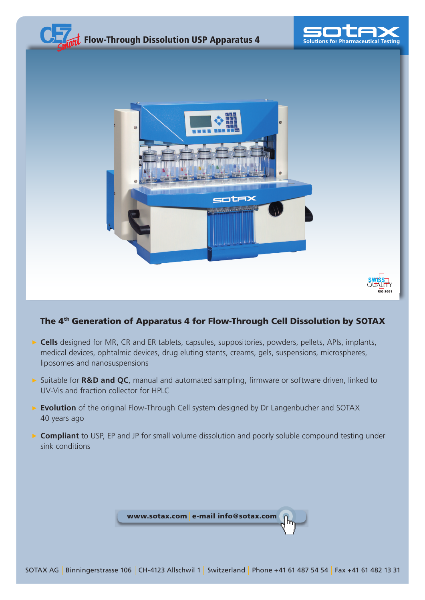

# The 4th Generation of Apparatus 4 for Flow-Through Cell Dissolution by SOTAX

- ▶ **Cells** designed for MR, CR and ER tablets, capsules, suppositories, powders, pellets, APIs, implants, medical devices, ophtalmic devices, drug eluting stents, creams, gels, suspensions, microspheres, liposomes and nanosuspensions
- ▶ Suitable for **R&D and QC**, manual and automated sampling, firmware or software driven, linked to UV-Vis and fraction collector for HPLC
- **Evolution** of the original Flow-Through Cell system designed by Dr Langenbucher and SOTAX 40 years ago
- **Compliant** to USP, EP and JP for small volume dissolution and poorly soluble compound testing under sink conditions